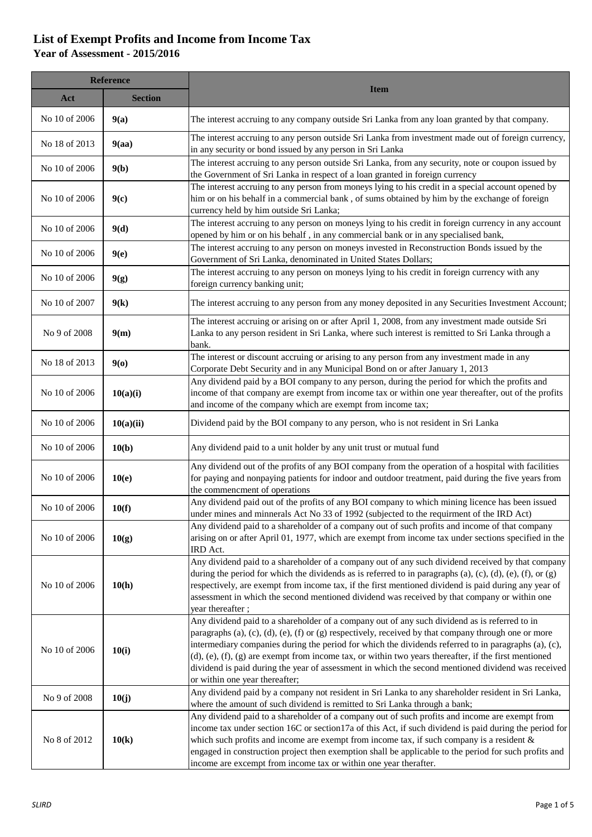## **List of Exempt Profits and Income from Income Tax Year of Assessment - 2015/2016**

| <b>Reference</b> |                |                                                                                                                                                                                                                                                                                                                                                                                                                                                                                                                                                                           |
|------------------|----------------|---------------------------------------------------------------------------------------------------------------------------------------------------------------------------------------------------------------------------------------------------------------------------------------------------------------------------------------------------------------------------------------------------------------------------------------------------------------------------------------------------------------------------------------------------------------------------|
| Act              | <b>Section</b> | <b>Item</b>                                                                                                                                                                                                                                                                                                                                                                                                                                                                                                                                                               |
| No 10 of 2006    | 9(a)           | The interest accruing to any company outside Sri Lanka from any loan granted by that company.                                                                                                                                                                                                                                                                                                                                                                                                                                                                             |
| No 18 of 2013    | 9(aa)          | The interest accruing to any person outside Sri Lanka from investment made out of foreign currency,<br>in any security or bond issued by any person in Sri Lanka                                                                                                                                                                                                                                                                                                                                                                                                          |
| No 10 of 2006    | 9(b)           | The interest accruing to any person outside Sri Lanka, from any security, note or coupon issued by<br>the Government of Sri Lanka in respect of a loan granted in foreign currency                                                                                                                                                                                                                                                                                                                                                                                        |
| No 10 of 2006    | 9(c)           | The interest accruing to any person from moneys lying to his credit in a special account opened by<br>him or on his behalf in a commercial bank, of sums obtained by him by the exchange of foreign<br>currency held by him outside Sri Lanka;                                                                                                                                                                                                                                                                                                                            |
| No 10 of 2006    | 9(d)           | The interest accruing to any person on moneys lying to his credit in foreign currency in any account<br>opened by him or on his behalf, in any commercial bank or in any specialised bank,                                                                                                                                                                                                                                                                                                                                                                                |
| No 10 of 2006    | 9(e)           | The interest accruing to any person on moneys invested in Reconstruction Bonds issued by the<br>Government of Sri Lanka, denominated in United States Dollars;                                                                                                                                                                                                                                                                                                                                                                                                            |
| No 10 of 2006    | 9(g)           | The interest accruing to any person on moneys lying to his credit in foreign currency with any<br>foreign currency banking unit;                                                                                                                                                                                                                                                                                                                                                                                                                                          |
| No 10 of 2007    | 9(k)           | The interest accruing to any person from any money deposited in any Securities Investment Account;                                                                                                                                                                                                                                                                                                                                                                                                                                                                        |
| No 9 of 2008     | 9(m)           | The interest accruing or arising on or after April 1, 2008, from any investment made outside Sri<br>Lanka to any person resident in Sri Lanka, where such interest is remitted to Sri Lanka through a<br>bank.                                                                                                                                                                                                                                                                                                                                                            |
| No 18 of 2013    | 9(0)           | The interest or discount accruing or arising to any person from any investment made in any<br>Corporate Debt Security and in any Municipal Bond on or after January 1, 2013                                                                                                                                                                                                                                                                                                                                                                                               |
| No 10 of 2006    | 10(a)(i)       | Any dividend paid by a BOI company to any person, during the period for which the profits and<br>income of that company are exempt from income tax or within one year thereafter, out of the profits<br>and income of the company which are exempt from income tax;                                                                                                                                                                                                                                                                                                       |
| No 10 of 2006    | 10(a)(ii)      | Dividend paid by the BOI company to any person, who is not resident in Sri Lanka                                                                                                                                                                                                                                                                                                                                                                                                                                                                                          |
| No 10 of 2006    | 10(b)          | Any dividend paid to a unit holder by any unit trust or mutual fund                                                                                                                                                                                                                                                                                                                                                                                                                                                                                                       |
| No 10 of 2006    | 10(e)          | Any dividend out of the profits of any BOI company from the operation of a hospital with facilities<br>for paying and nonpaying patients for indoor and outdoor treatment, paid during the five years from<br>the commencment of operations                                                                                                                                                                                                                                                                                                                               |
| No 10 of 2006    | 10(f)          | Any dividend paid out of the profits of any BOI company to which mining licence has been issued<br>under mines and minnerals Act No 33 of 1992 (subjected to the requirment of the IRD Act)                                                                                                                                                                                                                                                                                                                                                                               |
| No 10 of 2006    | 10(g)          | Any dividend paid to a shareholder of a company out of such profits and income of that company<br>arising on or after April 01, 1977, which are exempt from income tax under sections specified in the<br>IRD Act.                                                                                                                                                                                                                                                                                                                                                        |
| No 10 of 2006    | 10(h)          | Any dividend paid to a shareholder of a company out of any such dividend received by that company<br>during the period for which the dividends as is referred to in paragraphs (a), (c), (d), (e), (f), or (g)<br>respectively, are exempt from income tax, if the first mentioned dividend is paid during any year of<br>assessment in which the second mentioned dividend was received by that company or within one<br>year thereafter;                                                                                                                                |
| No 10 of 2006    | 10(i)          | Any dividend paid to a shareholder of a company out of any such dividend as is referred to in<br>paragraphs (a), (c), (d), (e), (f) or (g) respectively, received by that company through one or more<br>intermediary companies during the period for which the dividends referred to in paragraphs (a), (c),<br>$(d)$ , $(e)$ , $(f)$ , $(g)$ are exempt from income tax, or within two years thereafter, if the first mentioned<br>dividend is paid during the year of assessment in which the second mentioned dividend was received<br>or within one year thereafter; |
| No 9 of 2008     | 10(j)          | Any dividend paid by a company not resident in Sri Lanka to any shareholder resident in Sri Lanka,<br>where the amount of such dividend is remitted to Sri Lanka through a bank;                                                                                                                                                                                                                                                                                                                                                                                          |
| No 8 of 2012     | 10(k)          | Any dividend paid to a shareholder of a company out of such profits and income are exempt from<br>income tax under section 16C or section 17a of this Act, if such dividend is paid during the period for<br>which such profits and income are exempt from income tax, if such company is a resident $\&$<br>engaged in construction project then exemption shall be applicable to the period for such profits and<br>income are excempt from income tax or within one year therafter.                                                                                    |
|                  |                |                                                                                                                                                                                                                                                                                                                                                                                                                                                                                                                                                                           |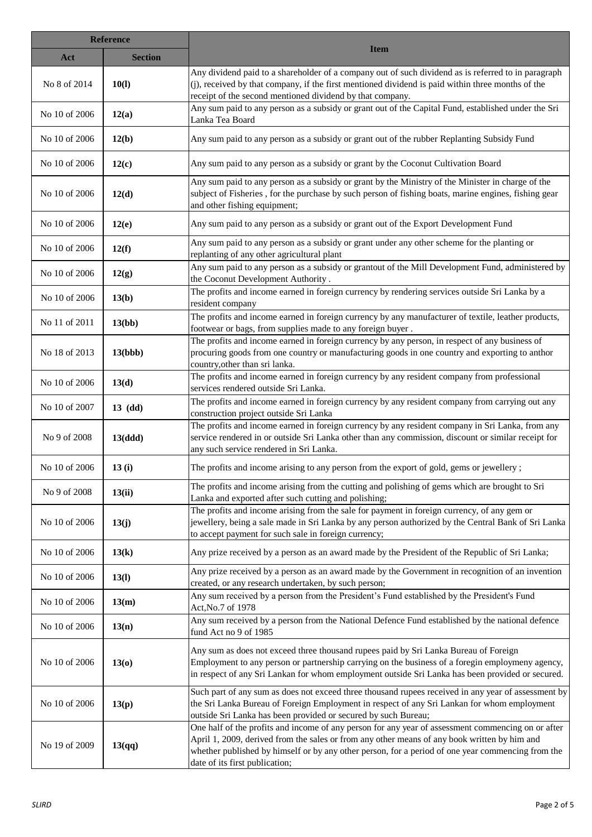| <b>Reference</b> |                |                                                                                                                                                                                                                                                                                                                                           |
|------------------|----------------|-------------------------------------------------------------------------------------------------------------------------------------------------------------------------------------------------------------------------------------------------------------------------------------------------------------------------------------------|
| Act              | <b>Section</b> | <b>Item</b>                                                                                                                                                                                                                                                                                                                               |
| No 8 of 2014     | 10(l)          | Any dividend paid to a shareholder of a company out of such dividend as is referred to in paragraph<br>(j), received by that company, if the first mentioned dividend is paid within three months of the<br>receipt of the second mentioned dividend by that company.                                                                     |
| No 10 of 2006    | 12(a)          | Any sum paid to any person as a subsidy or grant out of the Capital Fund, established under the Sri<br>Lanka Tea Board                                                                                                                                                                                                                    |
| No 10 of 2006    | 12(b)          | Any sum paid to any person as a subsidy or grant out of the rubber Replanting Subsidy Fund                                                                                                                                                                                                                                                |
| No 10 of 2006    | 12(c)          | Any sum paid to any person as a subsidy or grant by the Coconut Cultivation Board                                                                                                                                                                                                                                                         |
| No 10 of 2006    | 12(d)          | Any sum paid to any person as a subsidy or grant by the Ministry of the Minister in charge of the<br>subject of Fisheries, for the purchase by such person of fishing boats, marine engines, fishing gear<br>and other fishing equipment;                                                                                                 |
| No 10 of 2006    | 12(e)          | Any sum paid to any person as a subsidy or grant out of the Export Development Fund                                                                                                                                                                                                                                                       |
| No 10 of 2006    | 12(f)          | Any sum paid to any person as a subsidy or grant under any other scheme for the planting or<br>replanting of any other agricultural plant                                                                                                                                                                                                 |
| No 10 of 2006    | 12(g)          | Any sum paid to any person as a subsidy or grantout of the Mill Development Fund, administered by<br>the Coconut Development Authority.                                                                                                                                                                                                   |
| No 10 of 2006    | 13(b)          | The profits and income earned in foreign currency by rendering services outside Sri Lanka by a<br>resident company                                                                                                                                                                                                                        |
| No 11 of 2011    | 13(bb)         | The profits and income earned in foreign currency by any manufacturer of textile, leather products,<br>footwear or bags, from supplies made to any foreign buyer.                                                                                                                                                                         |
| No 18 of 2013    | 13(bbb)        | The profits and income earned in foreign currency by any person, in respect of any business of<br>procuring goods from one country or manufacturing goods in one country and exporting to anthor<br>country, other than sri lanka.                                                                                                        |
| No 10 of 2006    | 13(d)          | The profits and income earned in foreign currency by any resident company from professional<br>services rendered outside Sri Lanka.                                                                                                                                                                                                       |
| No 10 of 2007    | $13$ (dd)      | The profits and income earned in foreign currency by any resident company from carrying out any<br>construction project outside Sri Lanka                                                                                                                                                                                                 |
| No 9 of 2008     | 13(ddd)        | The profits and income earned in foreign currency by any resident company in Sri Lanka, from any<br>service rendered in or outside Sri Lanka other than any commission, discount or similar receipt for<br>any such service rendered in Sri Lanka.                                                                                        |
| No 10 of 2006    | 13(i)          | The profits and income arising to any person from the export of gold, gems or jewellery;                                                                                                                                                                                                                                                  |
| No 9 of 2008     | 13(ii)         | The profits and income arising from the cutting and polishing of gems which are brought to Sri<br>Lanka and exported after such cutting and polishing;                                                                                                                                                                                    |
| No 10 of 2006    | 13(j)          | The profits and income arising from the sale for payment in foreign currency, of any gem or<br>jewellery, being a sale made in Sri Lanka by any person authorized by the Central Bank of Sri Lanka<br>to accept payment for such sale in foreign currency;                                                                                |
| No 10 of 2006    | 13(k)          | Any prize received by a person as an award made by the President of the Republic of Sri Lanka;                                                                                                                                                                                                                                            |
| No 10 of 2006    | 13(l)          | Any prize received by a person as an award made by the Government in recognition of an invention<br>created, or any research undertaken, by such person;                                                                                                                                                                                  |
| No 10 of 2006    | 13(m)          | Any sum received by a person from the President's Fund established by the President's Fund<br>Act, No.7 of 1978                                                                                                                                                                                                                           |
| No 10 of 2006    | 13(n)          | Any sum received by a person from the National Defence Fund established by the national defence<br>fund Act no 9 of 1985                                                                                                                                                                                                                  |
| No 10 of 2006    | 13(0)          | Any sum as does not exceed three thousand rupees paid by Sri Lanka Bureau of Foreign<br>Employment to any person or partnership carrying on the business of a foregin employmeny agency,<br>in respect of any Sri Lankan for whom employment outside Sri Lanka has been provided or secured.                                              |
| No 10 of 2006    | 13(p)          | Such part of any sum as does not exceed three thousand rupees received in any year of assessment by<br>the Sri Lanka Bureau of Foreign Employment in respect of any Sri Lankan for whom employment<br>outside Sri Lanka has been provided or secured by such Bureau;                                                                      |
| No 19 of 2009    | 13(qq)         | One half of the profits and income of any person for any year of assessment commencing on or after<br>April 1, 2009, derived from the sales or from any other means of any book written by him and<br>whether published by himself or by any other person, for a period of one year commencing from the<br>date of its first publication; |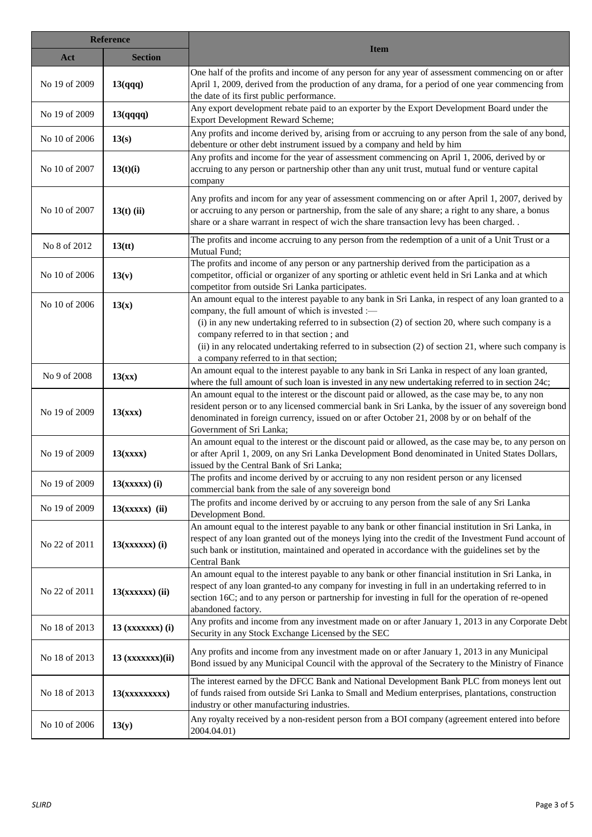| <b>Reference</b> |                    |                                                                                                                                                                                                                                                                                                                                                                                                                                                            |
|------------------|--------------------|------------------------------------------------------------------------------------------------------------------------------------------------------------------------------------------------------------------------------------------------------------------------------------------------------------------------------------------------------------------------------------------------------------------------------------------------------------|
| Act              | <b>Section</b>     | <b>Item</b>                                                                                                                                                                                                                                                                                                                                                                                                                                                |
| No 19 of 2009    | 13(qqq)            | One half of the profits and income of any person for any year of assessment commencing on or after<br>April 1, 2009, derived from the production of any drama, for a period of one year commencing from<br>the date of its first public performance.                                                                                                                                                                                                       |
| No 19 of 2009    | 13(qqqq)           | Any export development rebate paid to an exporter by the Export Development Board under the<br>Export Development Reward Scheme;                                                                                                                                                                                                                                                                                                                           |
| No 10 of 2006    | 13(s)              | Any profits and income derived by, arising from or accruing to any person from the sale of any bond,<br>debenture or other debt instrument issued by a company and held by him                                                                                                                                                                                                                                                                             |
| No 10 of 2007    | 13(t)(i)           | Any profits and income for the year of assessment commencing on April 1, 2006, derived by or<br>accruing to any person or partnership other than any unit trust, mutual fund or venture capital<br>company                                                                                                                                                                                                                                                 |
| No 10 of 2007    | $13(t)$ (ii)       | Any profits and incom for any year of assessment commencing on or after April 1, 2007, derived by<br>or accruing to any person or partnership, from the sale of any share; a right to any share, a bonus<br>share or a share warrant in respect of wich the share transaction levy has been charged. .                                                                                                                                                     |
| No 8 of 2012     | 13(t)              | The profits and income accruing to any person from the redemption of a unit of a Unit Trust or a<br>Mutual Fund;                                                                                                                                                                                                                                                                                                                                           |
| No 10 of 2006    | 13(v)              | The profits and income of any person or any partnership derived from the participation as a<br>competitor, official or organizer of any sporting or athletic event held in Sri Lanka and at which<br>competitor from outside Sri Lanka participates.                                                                                                                                                                                                       |
| No 10 of 2006    | 13(x)              | An amount equal to the interest payable to any bank in Sri Lanka, in respect of any loan granted to a<br>company, the full amount of which is invested :-<br>(i) in any new undertaking referred to in subsection (2) of section 20, where such company is a<br>company referred to in that section; and<br>(ii) in any relocated undertaking referred to in subsection (2) of section 21, where such company is<br>a company referred to in that section; |
| No 9 of 2008     | 13(xx)             | An amount equal to the interest payable to any bank in Sri Lanka in respect of any loan granted,<br>where the full amount of such loan is invested in any new undertaking referred to in section 24c;                                                                                                                                                                                                                                                      |
| No 19 of 2009    | 13(xxx)            | An amount equal to the interest or the discount paid or allowed, as the case may be, to any non<br>resident person or to any licensed commercial bank in Sri Lanka, by the issuer of any sovereign bond<br>denominated in foreign currency, issued on or after October 21, 2008 by or on behalf of the<br>Government of Sri Lanka;                                                                                                                         |
| No 19 of 2009    | 13(xxxx)           | An amount equal to the interest or the discount paid or allowed, as the case may be, to any person on<br>or after April 1, 2009, on any Sri Lanka Development Bond denominated in United States Dollars,<br>issued by the Central Bank of Sri Lanka;                                                                                                                                                                                                       |
| No 19 of 2009    | $13(xxxxx)$ (i)    | The profits and income derived by or accruing to any non resident person or any licensed<br>commercial bank from the sale of any sovereign bond                                                                                                                                                                                                                                                                                                            |
| No 19 of 2009    | $13(xxxxx)$ (ii)   | The profits and income derived by or accruing to any person from the sale of any Sri Lanka<br>Development Bond.                                                                                                                                                                                                                                                                                                                                            |
| No 22 of 2011    | $13(xxxxxx)$ (i)   | An amount equal to the interest payable to any bank or other financial institution in Sri Lanka, in<br>respect of any loan granted out of the moneys lying into the credit of the Investment Fund account of<br>such bank or institution, maintained and operated in accordance with the guidelines set by the<br>Central Bank                                                                                                                             |
| No 22 of 2011    | $13(xxxxxx)$ (ii)  | An amount equal to the interest payable to any bank or other financial institution in Sri Lanka, in<br>respect of any loan granted-to any company for investing in full in an undertaking referred to in<br>section 16C; and to any person or partnership for investing in full for the operation of re-opened<br>abandoned factory.                                                                                                                       |
| No 18 of 2013    | $13$ (xxxxxxx) (i) | Any profits and income from any investment made on or after January 1, 2013 in any Corporate Debt<br>Security in any Stock Exchange Licensed by the SEC                                                                                                                                                                                                                                                                                                    |
| No 18 of 2013    | $13$ (xxxxxxx)(ii) | Any profits and income from any investment made on or after January 1, 2013 in any Municipal<br>Bond issued by any Municipal Council with the approval of the Secratery to the Ministry of Finance                                                                                                                                                                                                                                                         |
| No 18 of 2013    | 13(xxxxxxxxx)      | The interest earned by the DFCC Bank and National Development Bank PLC from moneys lent out<br>of funds raised from outside Sri Lanka to Small and Medium enterprises, plantations, construction<br>industry or other manufacturing industries.                                                                                                                                                                                                            |
| No 10 of 2006    | 13(y)              | Any royalty received by a non-resident person from a BOI company (agreement entered into before<br>2004.04.01)                                                                                                                                                                                                                                                                                                                                             |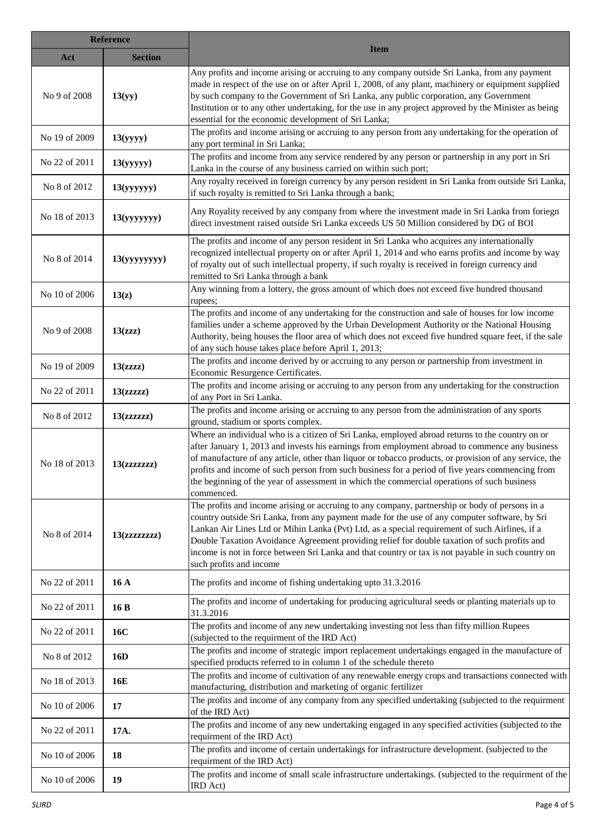| <b>Reference</b> |                |                                                                                                                                                                                                                                                                                                                                                                                                                                                                                                                                    |
|------------------|----------------|------------------------------------------------------------------------------------------------------------------------------------------------------------------------------------------------------------------------------------------------------------------------------------------------------------------------------------------------------------------------------------------------------------------------------------------------------------------------------------------------------------------------------------|
| Act              | <b>Section</b> | <b>Item</b>                                                                                                                                                                                                                                                                                                                                                                                                                                                                                                                        |
| No 9 of 2008     | 13(yy)         | Any profits and income arising or accruing to any company outside Sri Lanka, from any payment<br>made in respect of the use on or after April 1, 2008, of any plant, machinery or equipment supplied<br>by such company to the Government of Sri Lanka, any public corporation, any Government<br>Institution or to any other undertaking, for the use in any project approved by the Minister as being<br>essential for the economic development of Sri Lanka;                                                                    |
| No 19 of 2009    | 13(yyyy)       | The profits and income arising or accruing to any person from any undertaking for the operation of<br>any port terminal in Sri Lanka;                                                                                                                                                                                                                                                                                                                                                                                              |
| No 22 of 2011    | 13(yyyyy)      | The profits and income from any service rendered by any person or partnership in any port in Sri<br>Lanka in the course of any business carried on within such port;                                                                                                                                                                                                                                                                                                                                                               |
| No 8 of 2012     | 13(yyyyyy)     | Any royalty received in foreign currency by any person resident in Sri Lanka from outside Sri Lanka,<br>if such royalty is remitted to Sri Lanka through a bank;                                                                                                                                                                                                                                                                                                                                                                   |
| No 18 of 2013    | 13(yyyyyyy)    | Any Royality received by any company from where the investment made in Sri Lanka from foriegn<br>direct investment raised outside Sri Lanka exceeds US 50 Million considered by DG of BOI                                                                                                                                                                                                                                                                                                                                          |
| No 8 of 2014     | 13(yyyyyyy)    | The profits and income of any person resident in Sri Lanka who acquires any internationally<br>recognized intellectual property on or after April 1, 2014 and who earns profits and income by way<br>of royalty out of such intellectual property, if such royalty is received in foreign currency and<br>remitted to Sri Lanka through a bank                                                                                                                                                                                     |
| No 10 of 2006    | 13(z)          | Any winning from a lottery, the gross amount of which does not exceed five hundred thousand<br>rupees;                                                                                                                                                                                                                                                                                                                                                                                                                             |
| No 9 of 2008     | 13(zzz)        | The profits and income of any undertaking for the construction and sale of houses for low income<br>families under a scheme approved by the Urban Development Authority or the National Housing<br>Authority, being houses the floor area of which does not exceed five hundred square feet, if the sale<br>of any such house takes place before April 1, 2013;                                                                                                                                                                    |
| No 19 of 2009    | 13(zzz)        | The profits and income derived by or accruing to any person or partnership from investment in<br>Economic Resurgence Certificates.                                                                                                                                                                                                                                                                                                                                                                                                 |
| No 22 of 2011    | 13(zzzz)       | The profits and income arising or accruing to any person from any undertaking for the construction<br>of any Port in Sri Lanka.                                                                                                                                                                                                                                                                                                                                                                                                    |
| No 8 of 2012     | 13(zzzzzz)     | The profits and income arising or accruing to any person from the administration of any sports<br>ground, stadium or sports complex.                                                                                                                                                                                                                                                                                                                                                                                               |
| No 18 of 2013    | 13(zzzzzzz)    | Where an individual who is a citizen of Sri Lanka, employed abroad returns to the country on or<br>after January 1, 2013 and invests his earnings from employment abroad to commence any business<br>of manufacture of any article, other than liquor or tobacco products, or provision of any service, the<br>profits and income of such person from such business for a period of five years commencing from<br>the beginning of the year of assessment in which the commercial operations of such business<br>commenced.        |
| No 8 of 2014     | 13(zzzzzzz)    | The profits and income arising or accruing to any company, partnership or body of persons in a<br>country outside Sri Lanka, from any payment made for the use of any computer software, by Sri<br>Lankan Air Lines Ltd or Mihin Lanka (Pvt) Ltd, as a special requirement of such Airlines, if a<br>Double Taxation Avoidance Agreement providing relief for double taxation of such profits and<br>income is not in force between Sri Lanka and that country or tax is not payable in such country on<br>such profits and income |
| No 22 of 2011    | 16A            | The profits and income of fishing undertaking upto 31.3.2016                                                                                                                                                                                                                                                                                                                                                                                                                                                                       |
| No 22 of 2011    | 16 B           | The profits and income of undertaking for producing agricultural seeds or planting materials up to<br>31.3.2016                                                                                                                                                                                                                                                                                                                                                                                                                    |
| No 22 of 2011    | 16C            | The profits and income of any new undertaking investing not less than fifty million Rupees<br>(subjected to the requirment of the IRD Act)                                                                                                                                                                                                                                                                                                                                                                                         |
| No 8 of 2012     | 16D            | The profits and income of strategic import replacement undertakings engaged in the manufacture of<br>specified products referred to in column 1 of the schedule thereto                                                                                                                                                                                                                                                                                                                                                            |
| No 18 of 2013    | 16E            | The profits and income of cultivation of any renewable energy crops and transactions connected with<br>manufacturing, distribution and marketing of organic fertilizer                                                                                                                                                                                                                                                                                                                                                             |
| No 10 of 2006    | 17             | The profits and income of any company from any specified undertaking (subjected to the requirment<br>of the IRD Act)                                                                                                                                                                                                                                                                                                                                                                                                               |
| No 22 of 2011    | 17A.           | The profits and income of any new undertaking engaged in any specified activities (subjected to the<br>requirment of the IRD Act)                                                                                                                                                                                                                                                                                                                                                                                                  |
| No 10 of 2006    | 18             | The profits and income of certain undertakings for infrastructure development. (subjected to the<br>requirment of the IRD Act)                                                                                                                                                                                                                                                                                                                                                                                                     |
| No 10 of 2006    | 19             | The profits and income of small scale infrastructure undertakings. (subjected to the requirment of the<br>IRD Act)                                                                                                                                                                                                                                                                                                                                                                                                                 |